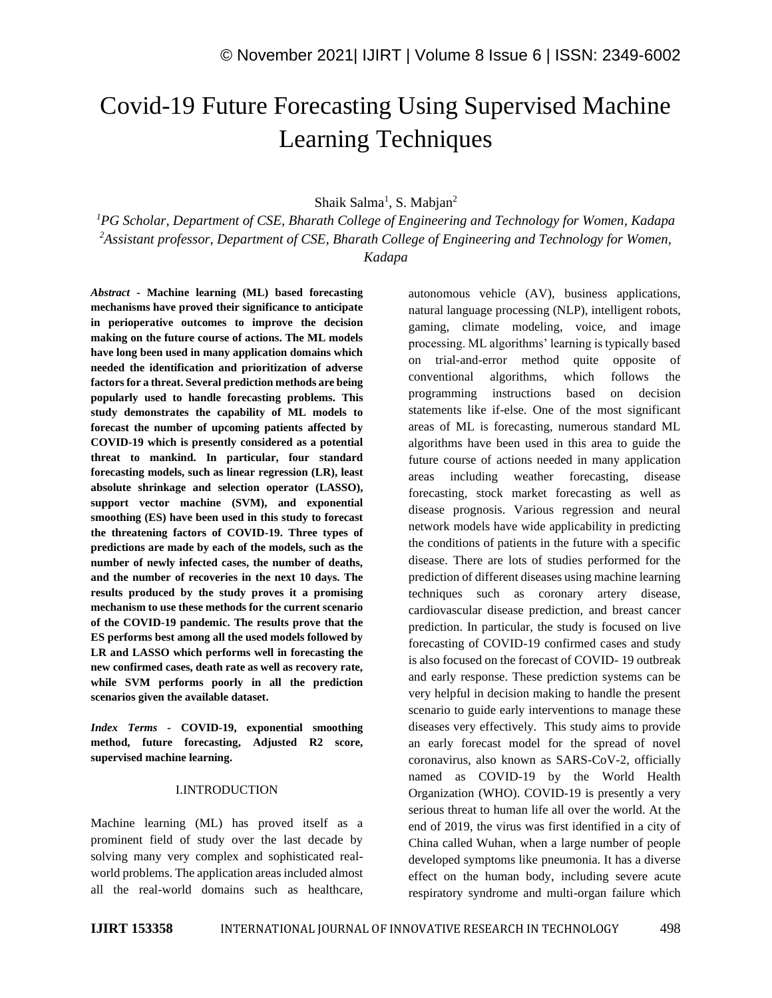# Covid-19 Future Forecasting Using Supervised Machine Learning Techniques

Shaik Salma<sup>1</sup>, S. Mabjan<sup>2</sup>

*<sup>1</sup>PG Scholar, Department of CSE, Bharath College of Engineering and Technology for Women, Kadapa <sup>2</sup>Assistant professor, Department of CSE, Bharath College of Engineering and Technology for Women, Kadapa*

*Abstract -* **Machine learning (ML) based forecasting mechanisms have proved their significance to anticipate in perioperative outcomes to improve the decision making on the future course of actions. The ML models have long been used in many application domains which needed the identification and prioritization of adverse factors for a threat. Several prediction methods are being popularly used to handle forecasting problems. This study demonstrates the capability of ML models to forecast the number of upcoming patients affected by COVID-19 which is presently considered as a potential threat to mankind. In particular, four standard forecasting models, such as linear regression (LR), least absolute shrinkage and selection operator (LASSO), support vector machine (SVM), and exponential smoothing (ES) have been used in this study to forecast the threatening factors of COVID-19. Three types of predictions are made by each of the models, such as the number of newly infected cases, the number of deaths, and the number of recoveries in the next 10 days. The results produced by the study proves it a promising mechanism to use these methods for the current scenario of the COVID-19 pandemic. The results prove that the ES performs best among all the used models followed by LR and LASSO which performs well in forecasting the new confirmed cases, death rate as well as recovery rate, while SVM performs poorly in all the prediction scenarios given the available dataset.**

*Index Terms -* **COVID-19, exponential smoothing method, future forecasting, Adjusted R2 score, supervised machine learning.**

## I.INTRODUCTION

Machine learning (ML) has proved itself as a prominent field of study over the last decade by solving many very complex and sophisticated realworld problems. The application areas included almost all the real-world domains such as healthcare, autonomous vehicle (AV), business applications, natural language processing (NLP), intelligent robots, gaming, climate modeling, voice, and image processing. ML algorithms' learning is typically based on trial-and-error method quite opposite of conventional algorithms, which follows the programming instructions based on decision statements like if-else. One of the most significant areas of ML is forecasting, numerous standard ML algorithms have been used in this area to guide the future course of actions needed in many application areas including weather forecasting, disease forecasting, stock market forecasting as well as disease prognosis. Various regression and neural network models have wide applicability in predicting the conditions of patients in the future with a specific disease. There are lots of studies performed for the prediction of different diseases using machine learning techniques such as coronary artery disease, cardiovascular disease prediction, and breast cancer prediction. In particular, the study is focused on live forecasting of COVID-19 confirmed cases and study is also focused on the forecast of COVID- 19 outbreak and early response. These prediction systems can be very helpful in decision making to handle the present scenario to guide early interventions to manage these diseases very effectively. This study aims to provide an early forecast model for the spread of novel coronavirus, also known as SARS-CoV-2, officially named as COVID-19 by the World Health Organization (WHO). COVID-19 is presently a very serious threat to human life all over the world. At the end of 2019, the virus was first identified in a city of China called Wuhan, when a large number of people developed symptoms like pneumonia. It has a diverse effect on the human body, including severe acute respiratory syndrome and multi-organ failure which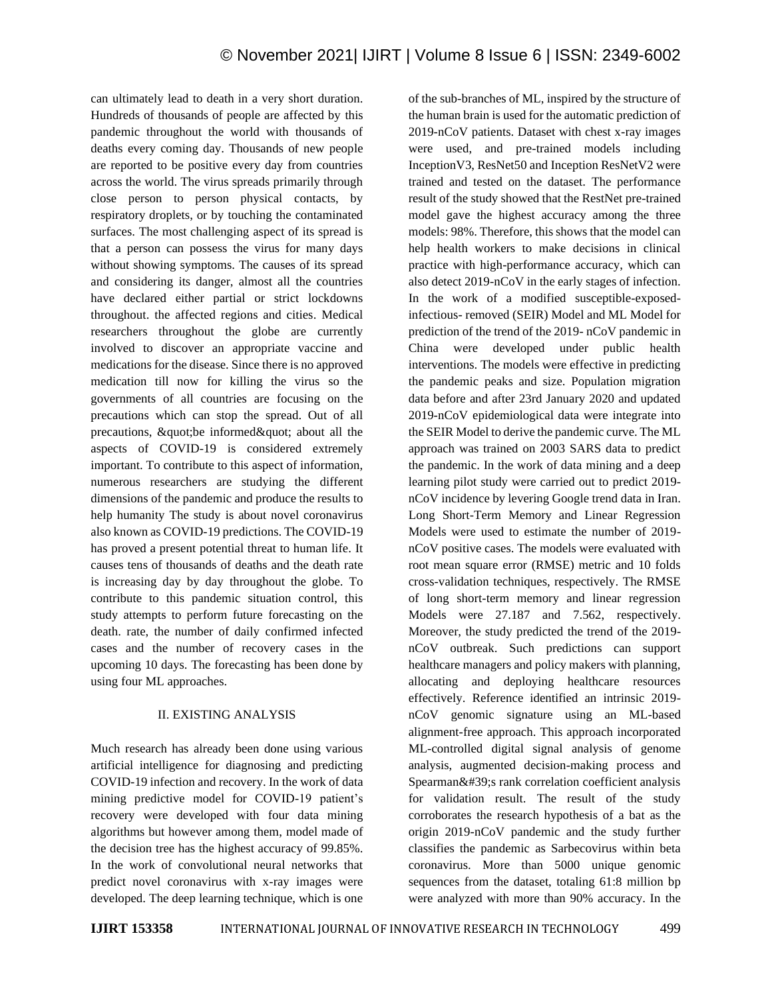can ultimately lead to death in a very short duration. Hundreds of thousands of people are affected by this pandemic throughout the world with thousands of deaths every coming day. Thousands of new people are reported to be positive every day from countries across the world. The virus spreads primarily through close person to person physical contacts, by respiratory droplets, or by touching the contaminated surfaces. The most challenging aspect of its spread is that a person can possess the virus for many days without showing symptoms. The causes of its spread and considering its danger, almost all the countries have declared either partial or strict lockdowns throughout. the affected regions and cities. Medical researchers throughout the globe are currently involved to discover an appropriate vaccine and medications for the disease. Since there is no approved medication till now for killing the virus so the governments of all countries are focusing on the precautions which can stop the spread. Out of all precautions,  $\&$ quot; be informed $\&$ quot; about all the aspects of COVID-19 is considered extremely important. To contribute to this aspect of information, numerous researchers are studying the different dimensions of the pandemic and produce the results to help humanity The study is about novel coronavirus also known as COVID-19 predictions. The COVID-19 has proved a present potential threat to human life. It causes tens of thousands of deaths and the death rate is increasing day by day throughout the globe. To contribute to this pandemic situation control, this study attempts to perform future forecasting on the death. rate, the number of daily confirmed infected cases and the number of recovery cases in the upcoming 10 days. The forecasting has been done by using four ML approaches.

# II. EXISTING ANALYSIS

Much research has already been done using various artificial intelligence for diagnosing and predicting COVID-19 infection and recovery. In the work of data mining predictive model for COVID-19 patient's recovery were developed with four data mining algorithms but however among them, model made of the decision tree has the highest accuracy of 99.85%. In the work of convolutional neural networks that predict novel coronavirus with x-ray images were developed. The deep learning technique, which is one

of the sub-branches of ML, inspired by the structure of the human brain is used for the automatic prediction of 2019-nCoV patients. Dataset with chest x-ray images were used, and pre-trained models including InceptionV3, ResNet50 and Inception ResNetV2 were trained and tested on the dataset. The performance result of the study showed that the RestNet pre-trained model gave the highest accuracy among the three models: 98%. Therefore, this shows that the model can help health workers to make decisions in clinical practice with high-performance accuracy, which can also detect 2019-nCoV in the early stages of infection. In the work of a modified susceptible-exposedinfectious- removed (SEIR) Model and ML Model for prediction of the trend of the 2019- nCoV pandemic in China were developed under public health interventions. The models were effective in predicting the pandemic peaks and size. Population migration data before and after 23rd January 2020 and updated 2019-nCoV epidemiological data were integrate into the SEIR Model to derive the pandemic curve. The ML approach was trained on 2003 SARS data to predict the pandemic. In the work of data mining and a deep learning pilot study were carried out to predict 2019 nCoV incidence by levering Google trend data in Iran. Long Short-Term Memory and Linear Regression Models were used to estimate the number of 2019 nCoV positive cases. The models were evaluated with root mean square error (RMSE) metric and 10 folds cross-validation techniques, respectively. The RMSE of long short-term memory and linear regression Models were 27.187 and 7.562, respectively. Moreover, the study predicted the trend of the 2019 nCoV outbreak. Such predictions can support healthcare managers and policy makers with planning, allocating and deploying healthcare resources effectively. Reference identified an intrinsic 2019 nCoV genomic signature using an ML-based alignment-free approach. This approach incorporated ML-controlled digital signal analysis of genome analysis, augmented decision-making process and  $Spearman& #39$ ; rank correlation coefficient analysis for validation result. The result of the study corroborates the research hypothesis of a bat as the origin 2019-nCoV pandemic and the study further classifies the pandemic as Sarbecovirus within beta coronavirus. More than 5000 unique genomic sequences from the dataset, totaling 61:8 million bp were analyzed with more than 90% accuracy. In the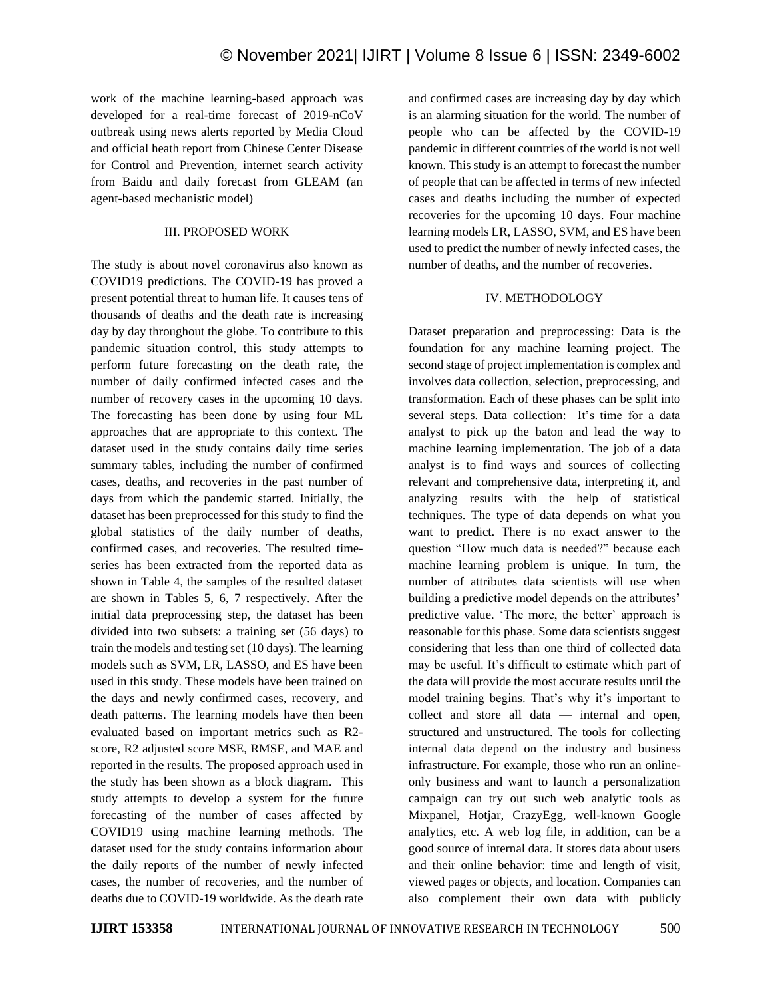work of the machine learning-based approach was developed for a real-time forecast of 2019-nCoV outbreak using news alerts reported by Media Cloud and official heath report from Chinese Center Disease for Control and Prevention, internet search activity from Baidu and daily forecast from GLEAM (an agent-based mechanistic model)

## III. PROPOSED WORK

The study is about novel coronavirus also known as COVID19 predictions. The COVID-19 has proved a present potential threat to human life. It causes tens of thousands of deaths and the death rate is increasing day by day throughout the globe. To contribute to this pandemic situation control, this study attempts to perform future forecasting on the death rate, the number of daily confirmed infected cases and the number of recovery cases in the upcoming 10 days. The forecasting has been done by using four ML approaches that are appropriate to this context. The dataset used in the study contains daily time series summary tables, including the number of confirmed cases, deaths, and recoveries in the past number of days from which the pandemic started. Initially, the dataset has been preprocessed for this study to find the global statistics of the daily number of deaths, confirmed cases, and recoveries. The resulted timeseries has been extracted from the reported data as shown in Table 4, the samples of the resulted dataset are shown in Tables 5, 6, 7 respectively. After the initial data preprocessing step, the dataset has been divided into two subsets: a training set (56 days) to train the models and testing set (10 days). The learning models such as SVM, LR, LASSO, and ES have been used in this study. These models have been trained on the days and newly confirmed cases, recovery, and death patterns. The learning models have then been evaluated based on important metrics such as R2 score, R2 adjusted score MSE, RMSE, and MAE and reported in the results. The proposed approach used in the study has been shown as a block diagram. This study attempts to develop a system for the future forecasting of the number of cases affected by COVID19 using machine learning methods. The dataset used for the study contains information about the daily reports of the number of newly infected cases, the number of recoveries, and the number of deaths due to COVID-19 worldwide. As the death rate and confirmed cases are increasing day by day which is an alarming situation for the world. The number of people who can be affected by the COVID-19 pandemic in different countries of the world is not well known. This study is an attempt to forecast the number of people that can be affected in terms of new infected cases and deaths including the number of expected recoveries for the upcoming 10 days. Four machine learning models LR, LASSO, SVM, and ES have been used to predict the number of newly infected cases, the number of deaths, and the number of recoveries.

## IV. METHODOLOGY

Dataset preparation and preprocessing: Data is the foundation for any machine learning project. The second stage of project implementation is complex and involves data collection, selection, preprocessing, and transformation. Each of these phases can be split into several steps. Data collection: It's time for a data analyst to pick up the baton and lead the way to machine learning implementation. The job of a data analyst is to find ways and sources of collecting relevant and comprehensive data, interpreting it, and analyzing results with the help of statistical techniques. The type of data depends on what you want to predict. There is no exact answer to the question "How much data is needed?" because each machine learning problem is unique. In turn, the number of attributes data scientists will use when building a predictive model depends on the attributes' predictive value. 'The more, the better' approach is reasonable for this phase. Some data scientists suggest considering that less than one third of collected data may be useful. It's difficult to estimate which part of the data will provide the most accurate results until the model training begins. That's why it's important to collect and store all data — internal and open, structured and unstructured. The tools for collecting internal data depend on the industry and business infrastructure. For example, those who run an onlineonly business and want to launch a personalization campaign can try out such web analytic tools as Mixpanel, Hotjar, CrazyEgg, well-known Google analytics, etc. A web log file, in addition, can be a good source of internal data. It stores data about users and their online behavior: time and length of visit, viewed pages or objects, and location. Companies can also complement their own data with publicly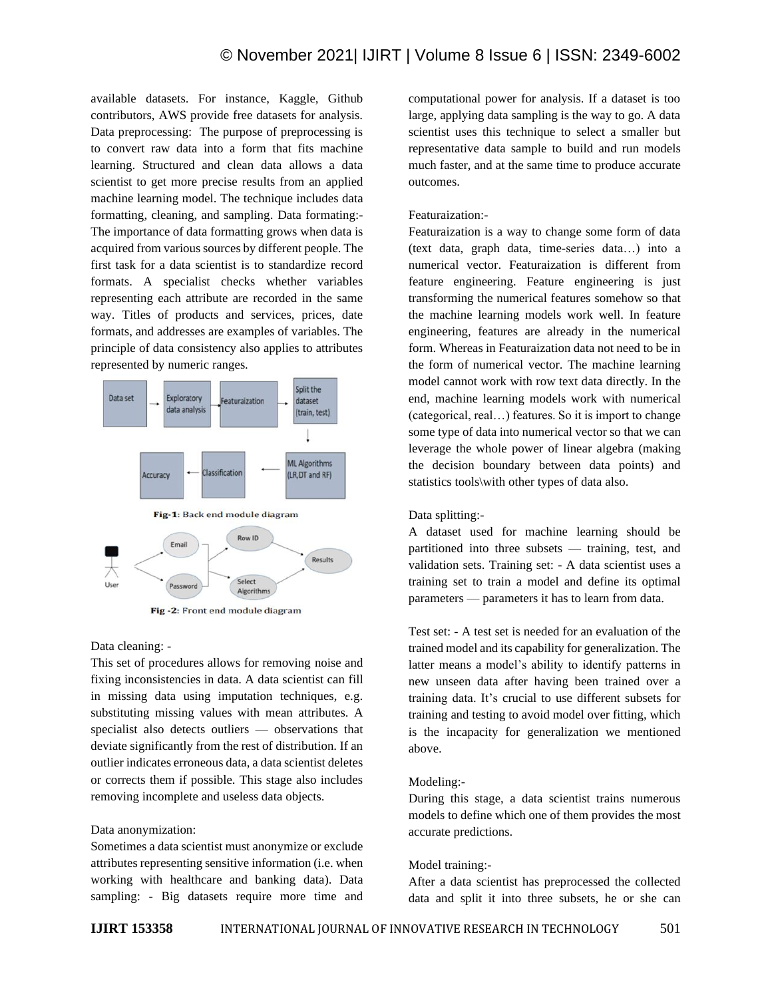available datasets. For instance, Kaggle, Github contributors, AWS provide free datasets for analysis. Data preprocessing: The purpose of preprocessing is to convert raw data into a form that fits machine learning. Structured and clean data allows a data scientist to get more precise results from an applied machine learning model. The technique includes data formatting, cleaning, and sampling. Data formating:- The importance of data formatting grows when data is acquired from various sources by different people. The first task for a data scientist is to standardize record formats. A specialist checks whether variables representing each attribute are recorded in the same way. Titles of products and services, prices, date formats, and addresses are examples of variables. The principle of data consistency also applies to attributes represented by numeric ranges.



Fig-2: Front end module diagram

#### Data cleaning: -

This set of procedures allows for removing noise and fixing inconsistencies in data. A data scientist can fill in missing data using imputation techniques, e.g. substituting missing values with mean attributes. A specialist also detects outliers — observations that deviate significantly from the rest of distribution. If an outlier indicates erroneous data, a data scientist deletes or corrects them if possible. This stage also includes removing incomplete and useless data objects.

#### Data anonymization:

Sometimes a data scientist must anonymize or exclude attributes representing sensitive information (i.e. when working with healthcare and banking data). Data sampling: - Big datasets require more time and computational power for analysis. If a dataset is too large, applying data sampling is the way to go. A data scientist uses this technique to select a smaller but representative data sample to build and run models much faster, and at the same time to produce accurate outcomes.

## Featuraization:-

Featuraization is a way to change some form of data (text data, graph data, time-series data…) into a numerical vector. Featuraization is different from feature engineering. Feature engineering is just transforming the numerical features somehow so that the machine learning models work well. In feature engineering, features are already in the numerical form. Whereas in Featuraization data not need to be in the form of numerical vector. The machine learning model cannot work with row text data directly. In the end, machine learning models work with numerical (categorical, real…) features. So it is import to change some type of data into numerical vector so that we can leverage the whole power of linear algebra (making the decision boundary between data points) and statistics tools\with other types of data also.

#### Data splitting:-

A dataset used for machine learning should be partitioned into three subsets — training, test, and validation sets. Training set: - A data scientist uses a training set to train a model and define its optimal parameters — parameters it has to learn from data.

Test set: - A test set is needed for an evaluation of the trained model and its capability for generalization. The latter means a model's ability to identify patterns in new unseen data after having been trained over a training data. It's crucial to use different subsets for training and testing to avoid model over fitting, which is the incapacity for generalization we mentioned above.

#### Modeling:-

During this stage, a data scientist trains numerous models to define which one of them provides the most accurate predictions.

## Model training:-

After a data scientist has preprocessed the collected data and split it into three subsets, he or she can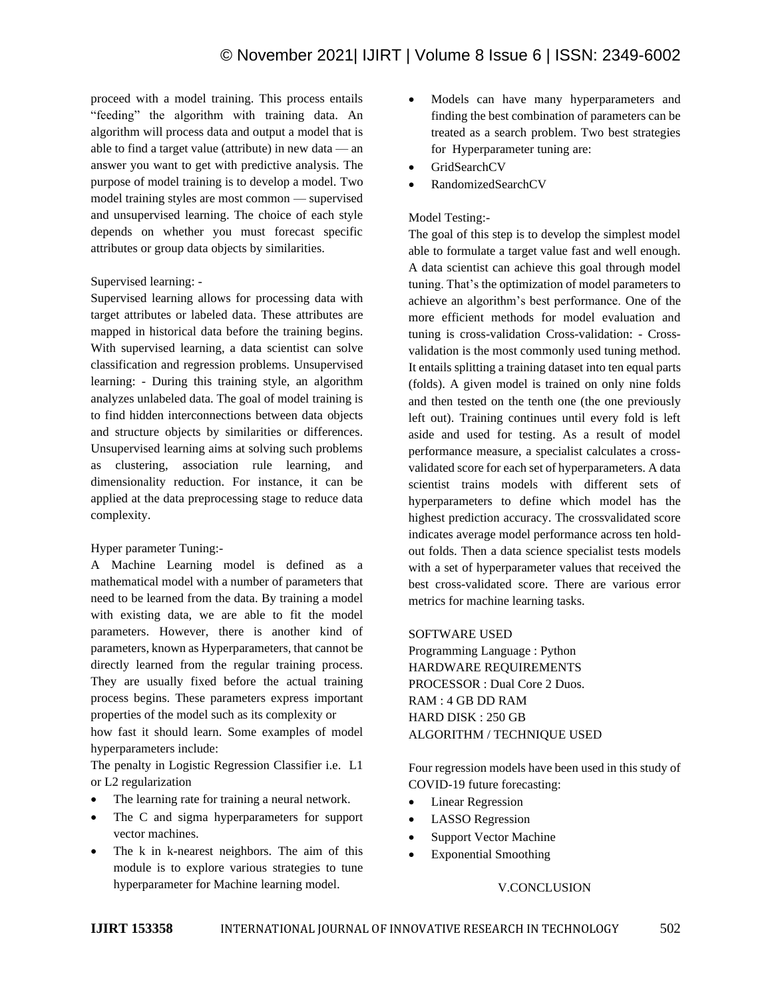proceed with a model training. This process entails "feeding" the algorithm with training data. An algorithm will process data and output a model that is able to find a target value (attribute) in new data — an answer you want to get with predictive analysis. The purpose of model training is to develop a model. Two model training styles are most common — supervised and unsupervised learning. The choice of each style depends on whether you must forecast specific attributes or group data objects by similarities.

# Supervised learning: -

Supervised learning allows for processing data with target attributes or labeled data. These attributes are mapped in historical data before the training begins. With supervised learning, a data scientist can solve classification and regression problems. Unsupervised learning: - During this training style, an algorithm analyzes unlabeled data. The goal of model training is to find hidden interconnections between data objects and structure objects by similarities or differences. Unsupervised learning aims at solving such problems as clustering, association rule learning, and dimensionality reduction. For instance, it can be applied at the data preprocessing stage to reduce data complexity.

## Hyper parameter Tuning:-

A Machine Learning model is defined as a mathematical model with a number of parameters that need to be learned from the data. By training a model with existing data, we are able to fit the model parameters. However, there is another kind of parameters, known as Hyperparameters, that cannot be directly learned from the regular training process. They are usually fixed before the actual training process begins. These parameters express important properties of the model such as its complexity or

how fast it should learn. Some examples of model hyperparameters include:

The penalty in Logistic Regression Classifier i.e. L1 or L2 regularization

- The learning rate for training a neural network.
- The C and sigma hyperparameters for support vector machines.
- The k in k-nearest neighbors. The aim of this module is to explore various strategies to tune hyperparameter for Machine learning model.
- Models can have many hyperparameters and finding the best combination of parameters can be treated as a search problem. Two best strategies for Hyperparameter tuning are:
- GridSearchCV
- RandomizedSearchCV

## Model Testing:-

The goal of this step is to develop the simplest model able to formulate a target value fast and well enough. A data scientist can achieve this goal through model tuning. That's the optimization of model parameters to achieve an algorithm's best performance. One of the more efficient methods for model evaluation and tuning is cross-validation Cross-validation: - Crossvalidation is the most commonly used tuning method. It entails splitting a training dataset into ten equal parts (folds). A given model is trained on only nine folds and then tested on the tenth one (the one previously left out). Training continues until every fold is left aside and used for testing. As a result of model performance measure, a specialist calculates a crossvalidated score for each set of hyperparameters. A data scientist trains models with different sets of hyperparameters to define which model has the highest prediction accuracy. The crossvalidated score indicates average model performance across ten holdout folds. Then a data science specialist tests models with a set of hyperparameter values that received the best cross-validated score. There are various error metrics for machine learning tasks.

## SOFTWARE USED

Programming Language : Python HARDWARE REQUIREMENTS PROCESSOR : Dual Core 2 Duos. RAM : 4 GB DD RAM HARD DISK : 250 GB ALGORITHM / TECHNIQUE USED

Four regression models have been used in this study of COVID-19 future forecasting:

- **Linear Regression**
- LASSO Regression
- Support Vector Machine
- Exponential Smoothing

## V.CONCLUSION